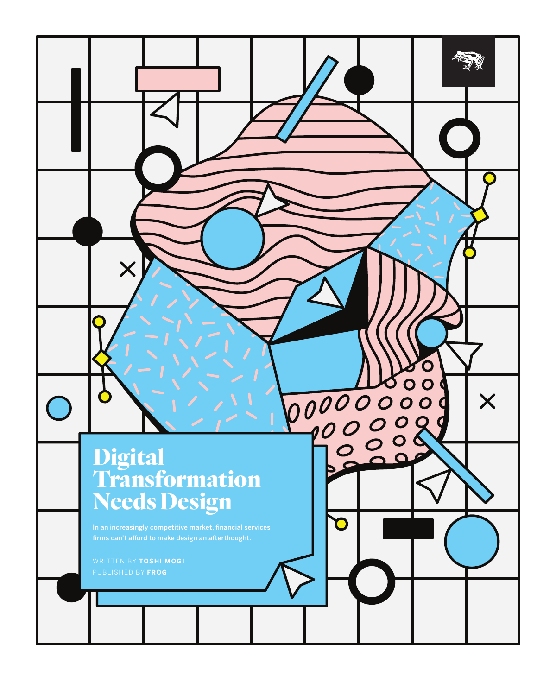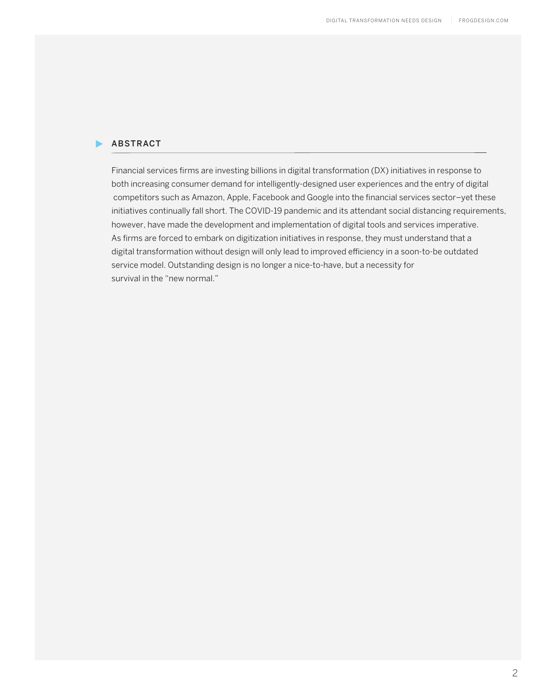### ABSTRACT

Financial services firms are investing billions in digital transformation (DX) initiatives in response to both increasing consumer demand for intelligently-designed user experiences and the entry of digital competitors such as Amazon, Apple, Facebook and Google into the financial services sector–yet these initiatives continually fall short. The COVID-19 pandemic and its attendant social distancing requirements, however, have made the development and implementation of digital tools and services imperative. As firms are forced to embark on digitization initiatives in response, they must understand that a digital transformation without design will only lead to improved efficiency in a soon-to-be outdated service model. Outstanding design is no longer a nice-to-have, but a necessity for survival in the "new normal."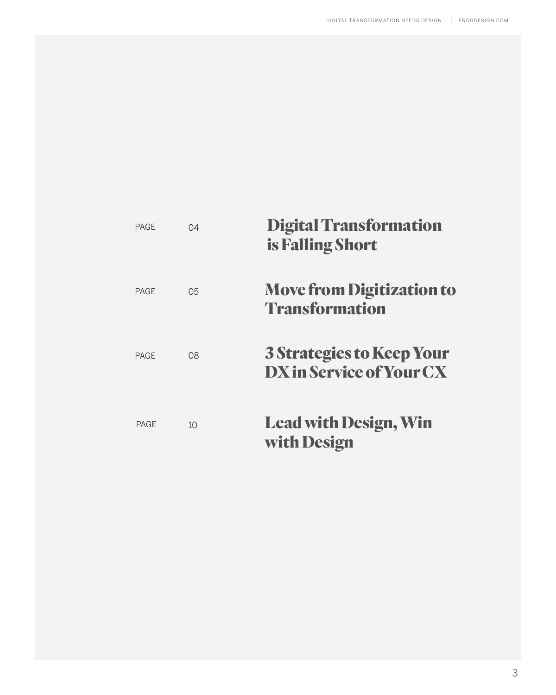| <b>PAGF</b> | 04 | <b>Digital Transformation</b><br>is Falling Short            |
|-------------|----|--------------------------------------------------------------|
| <b>PAGF</b> | 05 | <b>Move from Digitization to</b><br><b>Transformation</b>    |
| <b>PAGF</b> | 08 | <b>3 Strategies to Keep Your</b><br>DX in Service of Your CX |
| <b>PAGE</b> | 10 | <b>Lead with Design, Win</b><br>with Design                  |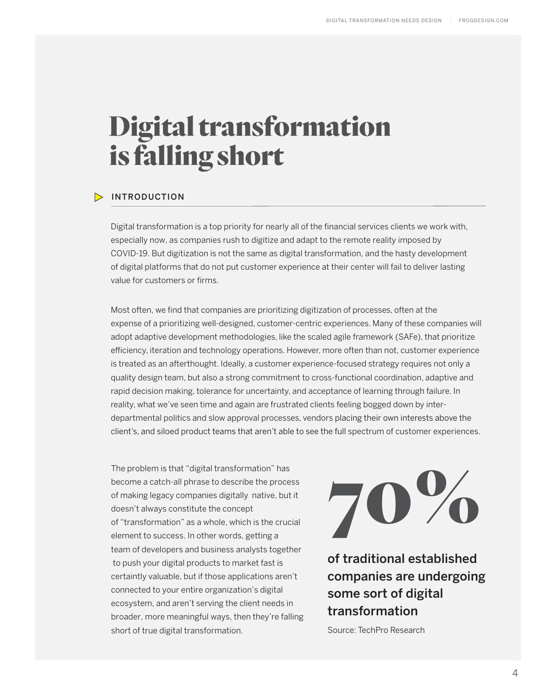# Digital transformation is falling short

### INTRODUCTION

Digital transformation is a top priority for nearly all of the financial services clients we work with, especially now, as companies rush to digitize and adapt to the remote reality imposed by COVID-19. But digitization is not the same as digital transformation, and the hasty development of digital platforms that do not put customer experience at their center will fail to deliver lasting value for customers or firms.

Most often, we find that companies are prioritizing digitization of processes, often at the expense of a prioritizing well-designed, customer-centric experiences. Many of these companies will adopt adaptive development methodologies, like the scaled agile framework (SAFe), that prioritize efficiency, iteration and technology operations. However, more often than not, customer experience is treated as an afterthought. Ideally, a customer experience-focused strategy requires not only a quality design team, but also a strong commitment to cross-functional coordination, adaptive and rapid decision making, tolerance for uncertainty, and acceptance of learning through failure. In reality, what we've seen time and again are frustrated clients feeling bogged down by interdepartmental politics and slow approval processes, vendors placing their own interests above the client's, and siloed product teams that aren't able to see the full spectrum of customer experiences.

The problem is that "digital transformation" has become a catch-all phrase to describe the process of making legacy companies digitally native, but it doesn't always constitute the concept of "transformation" as a whole, which is the crucial element to success. In other words, getting a team of developers and business analysts together to push your digital products to market fast is certaintly valuable, but if those applications aren't connected to your entire organization's digital ecosystem, and aren't serving the client needs in broader, more meaningful ways, then they're falling short of true digital transformation.



of traditional established companies are undergoing some sort of digital transformation

Source: TechPro Research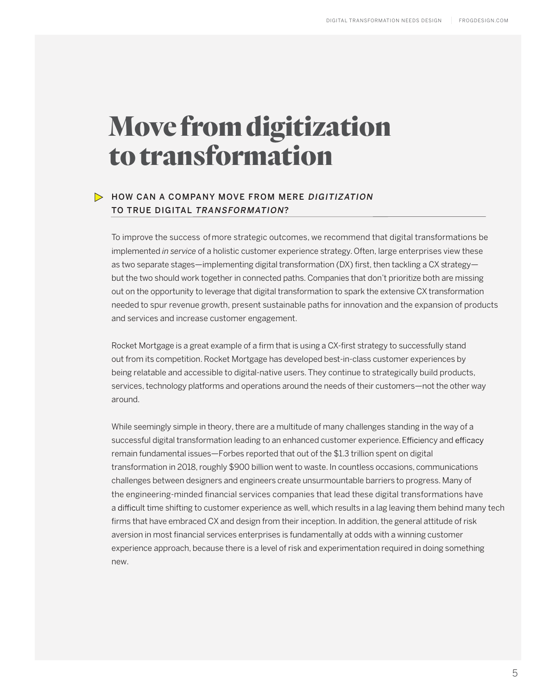# Move from digitization to transformation

# $\triangleright$  HOW CAN A COMPANY MOVE FROM MERE DIGITIZATION TO TRUE DIGITAL TRANSFORMATION?

To improve the success ofmore strategic outcomes, we recommend that digital transformations be implemented *in service* of a holistic customer experience strategy.Often, large enterprises view these as two separate stages—implementing digital transformation (DX) first, then tackling a CX strategy but the two should work together in connected paths. Companies that don't prioritize both are missing out on the opportunity to leverage that digital transformation to spark the extensive CX transformation needed to spur revenue growth, present sustainable paths for innovation and the expansion of products and services and increase customer engagement.

Rocket Mortgage is a great example of a firm that is using a CX-first strategy to successfully stand out from its competition. Rocket Mortgage has developed best-in-class customer experiences by being relatable and accessible to digital-native users. They continue to strategically build products, services, technology platforms and operations around the needs of their customers—not the other way around.

While seemingly simple in theory, there are a multitude of many challenges standing in the way of a successful digital transformation leading to an enhanced customer experience. Efficiency and efficacy remain fundamental issues—Forbes reported that out of the \$1.3 trillion spent on digital transformation in 2018, roughly \$900 billion went to waste. In countless occasions, communications challenges between designers and engineers create unsurmountable barriers to progress. Many of the engineering-minded financial services companies that lead these digital transformations have a difficult time shifting to customer experience as well, which results in a lag leaving them behind many tech firms that have embraced CX and design from their inception. In addition, the general attitude of risk aversion in most financial services enterprises is fundamentally at odds with a winning customer experience approach, because there is a level of risk and experimentation required in doing something new.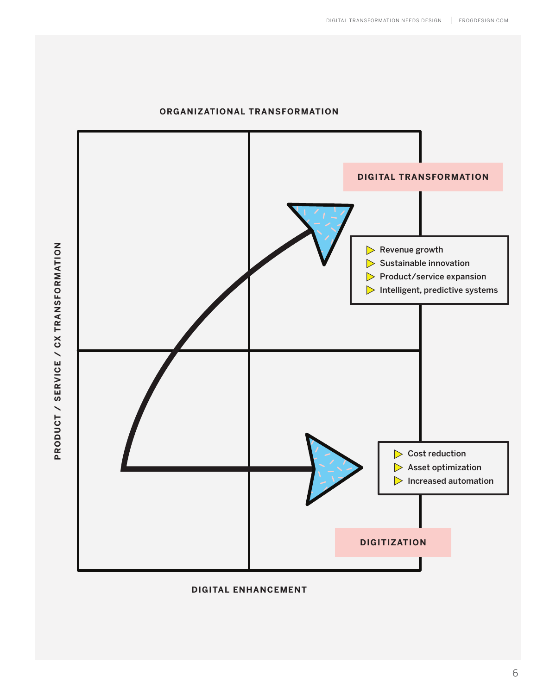

### **ORGANIZATIONAL TRANSFORMATION**

**DIGITAL ENHANCEMENT**

PRODUCT / SERVICE / CX TRANSFORMATION **PRODUCT / SERVICE / CX TRANSFORMATION**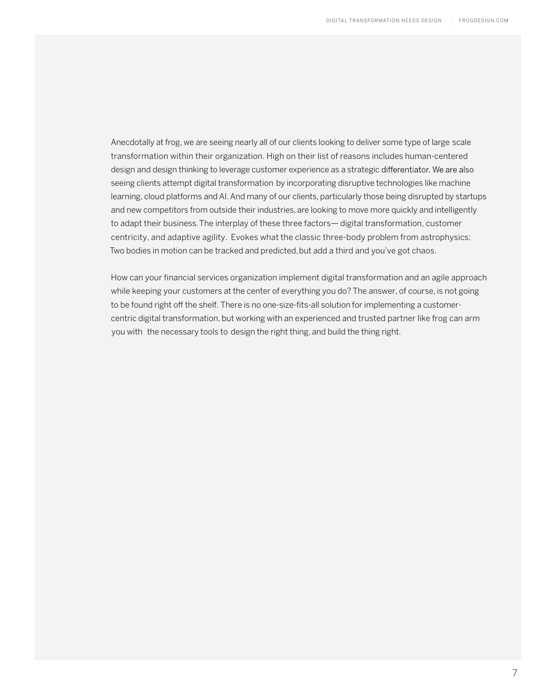Anecdotally at frog, we are seeing nearly all of our clients looking to deliver some type of large scale transformation within their organization. High on their list of reasons includes human-centered design and design thinking to leverage customer experience as a strategic differentiator. We are also seeing clients attempt digital transformation by incorporating disruptive technologies like machine learning, cloud platforms and AI. And many of our clients, particularly those being disrupted by startups and new competitors from outside their industries, are looking to move more quickly and intelligently to adapt their business. The interplay of these three factors— digital transformation, customer centricity, and adaptive agility. Evokes what the classic three-body problem from astrophysics: Two bodies in motion can be tracked and predicted, but add a third and you've got chaos.

How can your financial services organization implement digital transformation and an agile approach while keeping your customers at the center of everything you do? The answer, of course, is not going to be found right off the shelf. There is no one-size-fits-all solution for implementing a customercentric digital transformation, but working with an experienced and trusted partner like frog can arm you with the necessary tools to design the right thing, and build the thing right.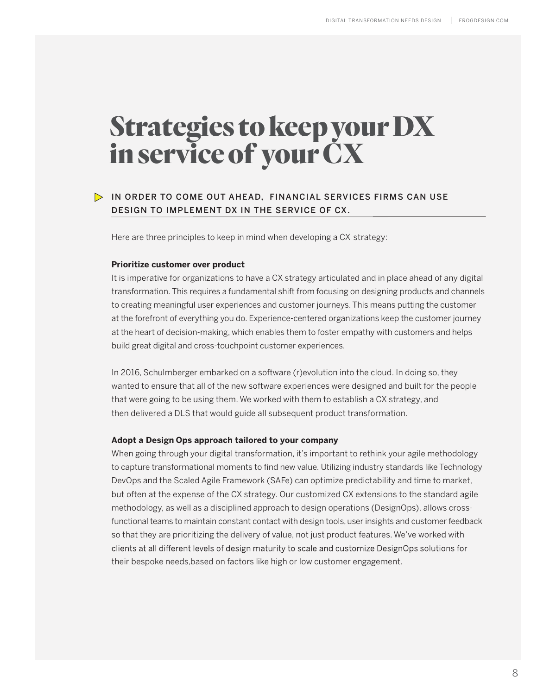# Strategies to keep your DX in service of your CX

## IN ORDER TO COME OUT AHEAD, FINANCIAL SERVICES FIRMS CAN USE DESIGN TO IMPLEMENT DX IN THE SERVICE OF CX.

Here are three principles to keep in mind when developing a CX strategy:

#### **Prioritize customer over product**

It is imperative for organizations to have a CX strategy articulated and in place ahead of any digital transformation. This requires a fundamental shift from focusing on designing products and channels to creating meaningful user experiences and customer journeys. This means putting the customer at the forefront of everything you do. Experience-centered organizations keep the customer journey at the heart of decision-making, which enables them to foster empathy with customers and helps build great digital and cross-touchpoint customer experiences.

In 2016, Schulmberger embarked on a software (r)evolution into the cloud. In doing so, they wanted to ensure that all of the new software experiences were designed and built for the people that were going to be using them. We worked with them to establish a CX strategy, and then delivered a DLS that would guide all subsequent product transformation.

#### **Adopt a Design Ops approach tailored to your company**

When going through your digital transformation, it's important to rethink your agile methodology to capture transformational moments to find new value. Utilizing industry standards like Technology DevOps and the Scaled Agile Framework (SAFe) can optimize predictability and time to market, but often at the expense of the CX strategy. Our customized CX extensions to the standard agile methodology, as well as a disciplined approach to design operations (DesignOps), allows crossfunctional teams to maintain constant contact with design tools, user insights and customer feedback so that they are prioritizing the delivery of value, not just product features. We've worked with clients at all different levels of design maturity to scale and customize DesignOps solutions for their bespoke needs,based on factors like high or low customer engagement.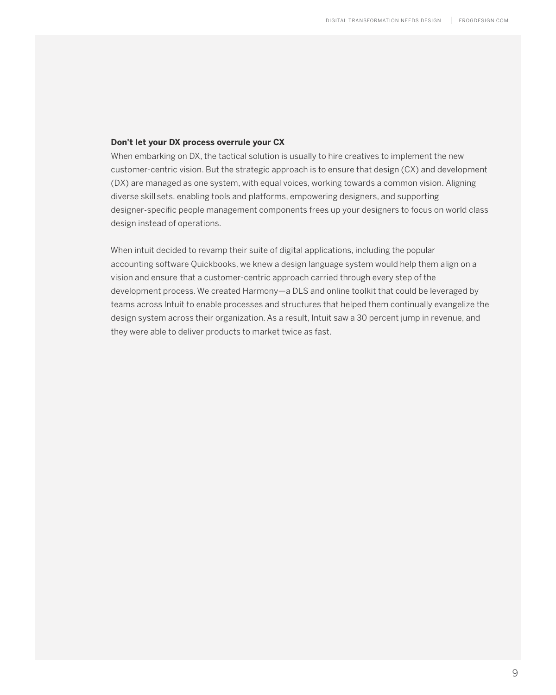#### **Don't let your DX process overrule your CX**

When embarking on DX, the tactical solution is usually to hire creatives to implement the new customer-centric vision. But the strategic approach is to ensure that design (CX) and development (DX) are managed as one system, with equal voices, working towards a common vision. Aligning diverse skill sets, enabling tools and platforms, empowering designers, and supporting designer-specific people management components frees up your designers to focus on world class design instead of operations.

 When intuit decided to revamp their suite of digital applications, including the popular accounting software Quickbooks, we knew a design language system would help them align on a vision and ensure that a customer-centric approach carried through every step of the development process. We created Harmony—a DLS and online toolkit that could be leveraged by teams across Intuit to enable processes and structures that helped them continually evangelize the design system across their organization. As a result, Intuit saw a 30 percent jump in revenue, and they were able to deliver products to market twice as fast.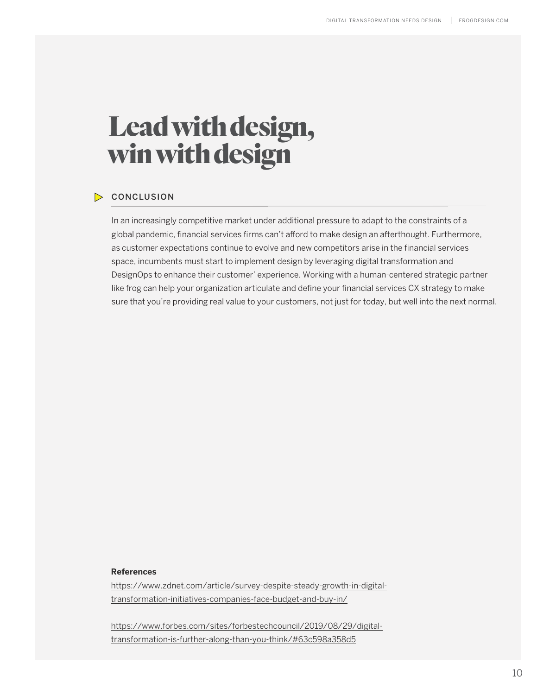# Leadwith design, winwith design

### **CONCLUSION**

In an increasingly competitive market under additional pressure to adapt to the constraints of a global pandemic, financial services firms can't afford to make design an afterthought. Furthermore, as customer expectations continue to evolve and new competitors arise in the financial services space, incumbents must start to implement design by leveraging digital transformation and DesignOps to enhance their customer' experience. Working with a human-centered strategic partner like frog can help your organization articulate and define your financial services CX strategy to make sure that you're providing real value to your customers, not just for today, but well into the next normal.

#### **References**

https://www.zdnet.com/article/survey-despite-steady-growth-in-digitaltransformation-initiatives-companies-face-budget-and-buy-in/

https://www.forbes.com/sites/forbestechcouncil/2019/08/29/digitaltransformation-is-further-along-than-you-think/#63c598a358d5